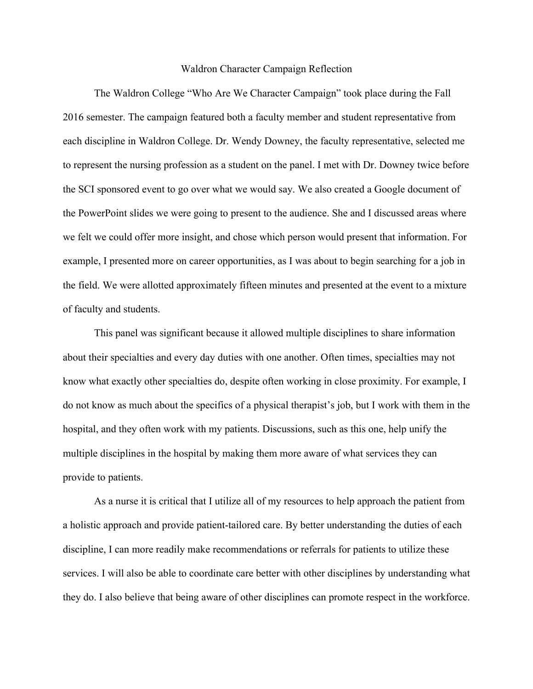## Waldron Character Campaign Reflection

The Waldron College "Who Are We Character Campaign" took place during the Fall 2016 semester. The campaign featured both a faculty member and student representative from each discipline in Waldron College. Dr. Wendy Downey, the faculty representative, selected me to represent the nursing profession as a student on the panel. I met with Dr. Downey twice before the SCI sponsored event to go over what we would say. We also created a Google document of the PowerPoint slides we were going to present to the audience. She and I discussed areas where we felt we could offer more insight, and chose which person would present that information. For example, I presented more on career opportunities, as I was about to begin searching for a job in the field. We were allotted approximately fifteen minutes and presented at the event to a mixture of faculty and students.

This panel was significant because it allowed multiple disciplines to share information about their specialties and every day duties with one another. Often times, specialties may not know what exactly other specialties do, despite often working in close proximity. For example, I do not know as much about the specifics of a physical therapist's job, but I work with them in the hospital, and they often work with my patients. Discussions, such as this one, help unify the multiple disciplines in the hospital by making them more aware of what services they can provide to patients.

As a nurse it is critical that I utilize all of my resources to help approach the patient from a holistic approach and provide patient-tailored care. By better understanding the duties of each discipline, I can more readily make recommendations or referrals for patients to utilize these services. I will also be able to coordinate care better with other disciplines by understanding what they do. I also believe that being aware of other disciplines can promote respect in the workforce.